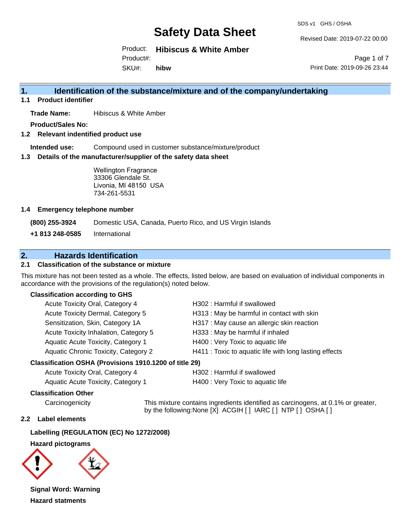SDS v1 GHS / OSHA

Revised Date: 2019-07-22 00:00

Product: **Hibiscus & White Amber** Product#:

SKU#: **hibw**

Page 1 of 7 Print Date: 2019-09-26 23:44

## **1. Identification of the substance/mixture and of the company/undertaking**

**1.1 Product identifier**

**Trade Name:** Hibiscus & White Amber

**Product/Sales No:**

**1.2 Relevant indentified product use**

**Intended use:** Compound used in customer substance/mixture/product

**1.3 Details of the manufacturer/supplier of the safety data sheet**

Wellington Fragrance 33306 Glendale St. Livonia, MI 48150 USA 734-261-5531

#### **1.4 Emergency telephone number**

**(800) 255-3924** Domestic USA, Canada, Puerto Rico, and US Virgin Islands

**+1 813 248-0585** International

## **2. Hazards Identification**

#### **2.1 Classification of the substance or mixture**

This mixture has not been tested as a whole. The effects, listed below, are based on evaluation of individual components in accordance with the provisions of the regulation(s) noted below.

#### **Classification according to GHS**

| Acute Toxicity Oral, Category 4       | H302 : Harmful if swallowed                            |
|---------------------------------------|--------------------------------------------------------|
| Acute Toxicity Dermal, Category 5     | H313: May be harmful in contact with skin              |
| Sensitization, Skin, Category 1A      | H317 : May cause an allergic skin reaction             |
| Acute Toxicity Inhalation, Category 5 | H333: May be harmful if inhaled                        |
| Aquatic Acute Toxicity, Category 1    | H400 : Very Toxic to aquatic life                      |
| Aquatic Chronic Toxicity, Category 2  | H411 : Toxic to aquatic life with long lasting effects |
|                                       |                                                        |

#### **Classification OSHA (Provisions 1910.1200 of title 29)**

| Acute Toxicity Oral, Category 4    |  |
|------------------------------------|--|
| Aquatic Acute Toxicity. Category 1 |  |

H302 : Harmful if swallowed

H400 : Very Toxic to aquatic life

#### **Classification Other**

Carcinogenicity This mixture contains ingredients identified as carcinogens, at 0.1% or greater, by the following:None [X] ACGIH [ ] IARC [ ] NTP [ ] OSHA [ ]

#### **2.2 Label elements**

**Labelling (REGULATION (EC) No 1272/2008)**

**Hazard pictograms**



**Signal Word: Warning Hazard statments**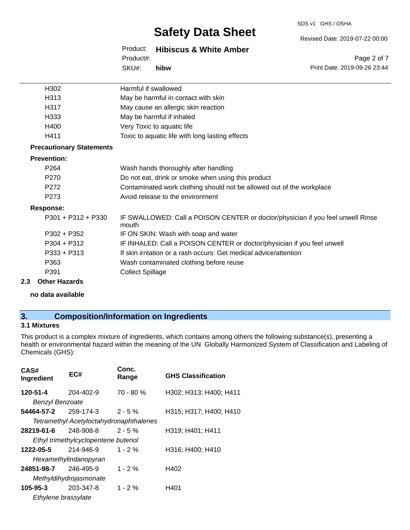#### SDS v1 GHS / OSHA

# **Safety Data Sheet**

Revised Date: 2019-07-22 00:00

Page 2 of 7

Product: **Hibiscus & White Amber** SKU#: Product#: **hibw**

Print Date: 2019-09-26 23:44 H302 Harmful if swallowed H313 May be harmful in contact with skin H317 May cause an allergic skin reaction H333 May be harmful if inhaled H400 Very Toxic to aquatic life H411 Toxic to aquatic life with long lasting effects P264 Wash hands thoroughly after handling P270 Do not eat, drink or smoke when using this product

- P272 Contaminated work clothing should not be allowed out of the workplace
- P273 Avoid release to the environment

#### **Response:**

**Prevention:**

**Precautionary Statements**

| יטיייט                        |                                                                                          |
|-------------------------------|------------------------------------------------------------------------------------------|
| P301 + P312 + P330            | IF SWALLOWED: Call a POISON CENTER or doctor/physician if you feel unwell Rinse<br>mouth |
| P302 + P352                   | IF ON SKIN: Wash with soap and water                                                     |
| $P304 + P312$                 | IF INHALED: Call a POISON CENTER or doctor/physician if you feel unwell                  |
| $P333 + P313$                 | If skin irritation or a rash occurs: Get medical advice/attention                        |
| P363                          | Wash contaminated clothing before reuse                                                  |
| P391                          | <b>Collect Spillage</b>                                                                  |
| dha ann an India ann an Alba. |                                                                                          |

**2.3 Other Hazards**

**no data available**

### **3. Composition/Information on Ingredients**

## **3.1 Mixtures**

This product is a complex mixture of ingredients, which contains among others the following substance(s), presenting a health or environmental hazard within the meaning of the UN Globally Harmonized System of Classification and Labeling of Chemicals (GHS):

| CAS#<br>Ingredient     | EC#                                 | Conc.<br>Range                          | <b>GHS Classification</b> |
|------------------------|-------------------------------------|-----------------------------------------|---------------------------|
| 120-51-4               | 204-402-9                           | $70 - 80 %$                             | H302; H313; H400; H411    |
| <b>Benzyl Benzoate</b> |                                     |                                         |                           |
| 54464-57-2             | 259-174-3                           | $2 - 5 \%$                              | H315; H317; H400; H410    |
|                        |                                     | Tetramethyl Acetyloctahydronaphthalenes |                           |
| 28219-61-6             | 248-908-8                           | $2 - 5 \%$                              | H319; H401; H411          |
|                        | Ethyl trimethylcyclopentene butenol |                                         |                           |
| 1222-05-5              | 214-946-9                           | $1 - 2%$                                | H316; H400; H410          |
|                        | Hexamethylindanopyran               |                                         |                           |
| 24851-98-7             | 246-495-9                           | $1 - 2%$                                | H402                      |
|                        | Methyldihydrojasmonate              |                                         |                           |
| 105-95-3               | 203-347-8                           | 1 - 2 $%$                               | H401                      |
| Ethylene brassylate    |                                     |                                         |                           |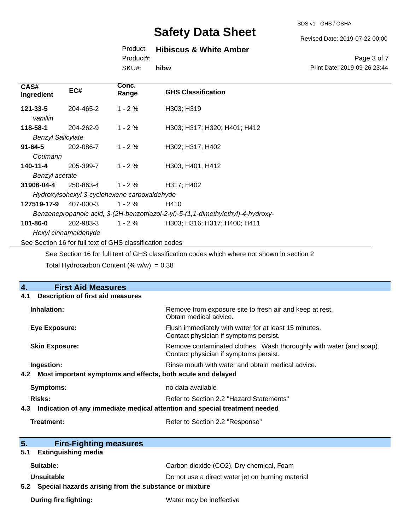SDS v1 GHS / OSHA

Revised Date: 2019-07-22 00:00

## Product: **Hibiscus & White Amber**

Product#:

SKU#: **hibw**

#### Page 3 of 7 Print Date: 2019-09-26 23:44

| CAS#<br>Ingredient                                                               | EC#                                                                                         | Conc.<br>Range | <b>GHS Classification</b>    |  |
|----------------------------------------------------------------------------------|---------------------------------------------------------------------------------------------|----------------|------------------------------|--|
| $121 - 33 - 5$<br>vanillin                                                       | 204-465-2                                                                                   | $1 - 2%$       | H303; H319                   |  |
| 118-58-1                                                                         | 204-262-9                                                                                   | $1 - 2 \%$     | H303; H317; H320; H401; H412 |  |
| <b>Benzyl Salicylate</b>                                                         |                                                                                             |                |                              |  |
| $91 - 64 - 5$                                                                    | 202-086-7                                                                                   | $1 - 2 \%$     | H302; H317; H402             |  |
| Coumarin                                                                         |                                                                                             |                |                              |  |
| 140-11-4                                                                         | 205-399-7                                                                                   | $1 - 2 \%$     | H303; H401; H412             |  |
| Benzyl acetate                                                                   |                                                                                             |                |                              |  |
| 31906-04-4                                                                       | 250-863-4                                                                                   | $1 - 2\%$      | H317; H402                   |  |
| Hydroxyisohexyl 3-cyclohexene carboxaldehyde                                     |                                                                                             |                |                              |  |
| 127519-17-9                                                                      | 407-000-3                                                                                   | $1 - 2 \%$     | H410                         |  |
| Benzenepropanoic acid, 3-(2H-benzotriazol-2-yl)-5-(1,1-dimethylethyl)-4-hydroxy- |                                                                                             |                |                              |  |
| 101-86-0                                                                         | 202-983-3                                                                                   | $1 - 2 \%$     | H303; H316; H317; H400; H411 |  |
|                                                                                  | Hexyl cinnamaldehyde                                                                        |                |                              |  |
| See Section 16 for full text of GHS classification codes                         |                                                                                             |                |                              |  |
|                                                                                  | See Section 16 for full text of GHS classification codes which where not shown in section 2 |                |                              |  |

Total Hydrocarbon Content (%  $w/w$ ) = 0.38

| <b>First Aid Measures</b><br>4.                                                   |                                                                                                               |  |  |
|-----------------------------------------------------------------------------------|---------------------------------------------------------------------------------------------------------------|--|--|
| <b>Description of first aid measures</b><br>4.1                                   |                                                                                                               |  |  |
| Inhalation:                                                                       | Remove from exposure site to fresh air and keep at rest.<br>Obtain medical advice.                            |  |  |
| <b>Eye Exposure:</b>                                                              | Flush immediately with water for at least 15 minutes.<br>Contact physician if symptoms persist.               |  |  |
| <b>Skin Exposure:</b>                                                             | Remove contaminated clothes. Wash thoroughly with water (and soap).<br>Contact physician if symptoms persist. |  |  |
| Ingestion:                                                                        | Rinse mouth with water and obtain medical advice.                                                             |  |  |
| 4.2                                                                               | Most important symptoms and effects, both acute and delayed                                                   |  |  |
| <b>Symptoms:</b>                                                                  | no data available                                                                                             |  |  |
| <b>Risks:</b>                                                                     | Refer to Section 2.2 "Hazard Statements"                                                                      |  |  |
| Indication of any immediate medical attention and special treatment needed<br>4.3 |                                                                                                               |  |  |
| Treatment:                                                                        | Refer to Section 2.2 "Response"                                                                               |  |  |
|                                                                                   |                                                                                                               |  |  |
| 5.<br><b>Fire-Fighting measures</b>                                               |                                                                                                               |  |  |
| <b>Extinguishing media</b><br>5.1                                                 |                                                                                                               |  |  |
| Suitable:                                                                         | Carbon dioxide (CO2), Dry chemical, Foam                                                                      |  |  |
| Unsuitable                                                                        | Do not use a direct water jet on burning material                                                             |  |  |
| Special hazards arising from the substance or mixture<br>5.2                      |                                                                                                               |  |  |
| <b>During fire fighting:</b>                                                      | Water may be ineffective                                                                                      |  |  |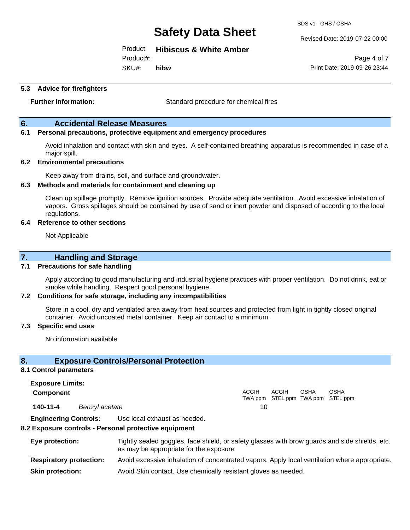SDS v1 GHS / OSHA

Revised Date: 2019-07-22 00:00

Product: **Hibiscus & White Amber**

Product#:

SKU#: **hibw**

Page 4 of 7 Print Date: 2019-09-26 23:44

#### **5.3 Advice for firefighters**

**Further information:** Standard procedure for chemical fires

#### **6. Accidental Release Measures**

#### **6.1 Personal precautions, protective equipment and emergency procedures**

Avoid inhalation and contact with skin and eyes. A self-contained breathing apparatus is recommended in case of a major spill.

#### **6.2 Environmental precautions**

Keep away from drains, soil, and surface and groundwater.

#### **6.3 Methods and materials for containment and cleaning up**

Clean up spillage promptly. Remove ignition sources. Provide adequate ventilation. Avoid excessive inhalation of vapors. Gross spillages should be contained by use of sand or inert powder and disposed of according to the local regulations.

#### **6.4 Reference to other sections**

Not Applicable

## **7. Handling and Storage**

#### **7.1 Precautions for safe handling**

Apply according to good manufacturing and industrial hygiene practices with proper ventilation. Do not drink, eat or smoke while handling. Respect good personal hygiene.

#### **7.2 Conditions for safe storage, including any incompatibilities**

Store in a cool, dry and ventilated area away from heat sources and protected from light in tightly closed original container. Avoid uncoated metal container. Keep air contact to a minimum.

#### **7.3 Specific end uses**

No information available

#### **8. Exposure Controls/Personal Protection**

#### **8.1 Control parameters**

**Exposure Limits: Component** ACGIH TWA ppm STEL ppm TWA ppm STEL ppm ACGIH OSHA OSHA **140-11-4** *Benzyl acetate* 10

**Engineering Controls:** Use local exhaust as needed.

#### **8.2 Exposure controls - Personal protective equipment**

| Eye protection:                | Tightly sealed goggles, face shield, or safety glasses with brow guards and side shields, etc.<br>as may be appropriate for the exposure |
|--------------------------------|------------------------------------------------------------------------------------------------------------------------------------------|
| <b>Respiratory protection:</b> | Avoid excessive inhalation of concentrated vapors. Apply local ventilation where appropriate.                                            |
| <b>Skin protection:</b>        | Avoid Skin contact. Use chemically resistant gloves as needed.                                                                           |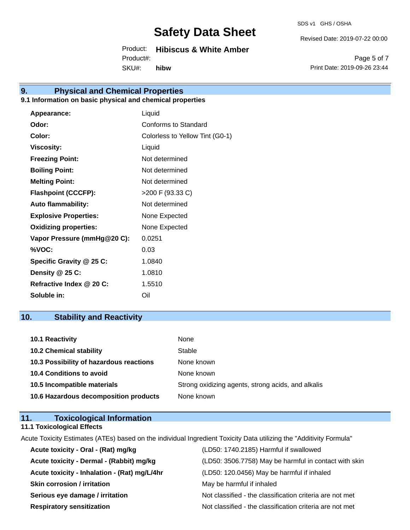SDS v1 GHS / OSHA

Revised Date: 2019-07-22 00:00

Product: **Hibiscus & White Amber** SKU#: Product#: **hibw**

Page 5 of 7 Print Date: 2019-09-26 23:44

# **9. Physical and Chemical Properties**

## **9.1 Information on basic physical and chemical properties**

| Appearance:                  | Liquid                          |
|------------------------------|---------------------------------|
| Odor:                        | Conforms to Standard            |
| Color:                       | Colorless to Yellow Tint (G0-1) |
| <b>Viscosity:</b>            | Liquid                          |
| <b>Freezing Point:</b>       | Not determined                  |
| <b>Boiling Point:</b>        | Not determined                  |
| <b>Melting Point:</b>        | Not determined                  |
| <b>Flashpoint (CCCFP):</b>   | >200 F (93.33 C)                |
| <b>Auto flammability:</b>    | Not determined                  |
| <b>Explosive Properties:</b> | None Expected                   |
| <b>Oxidizing properties:</b> | None Expected                   |
| Vapor Pressure (mmHg@20 C):  | 0.0251                          |
| %VOC:                        | 0.03                            |
| Specific Gravity @ 25 C:     | 1.0840                          |
| Density @ 25 C:              | 1.0810                          |
| Refractive Index @ 20 C:     | 1.5510                          |
| Soluble in:                  | Oil                             |

# **10. Stability and Reactivity**

| 10.1 Reactivity                         | None                                               |
|-----------------------------------------|----------------------------------------------------|
| <b>10.2 Chemical stability</b>          | Stable                                             |
| 10.3 Possibility of hazardous reactions | None known                                         |
| <b>10.4 Conditions to avoid</b>         | None known                                         |
| 10.5 Incompatible materials             | Strong oxidizing agents, strong acids, and alkalis |
| 10.6 Hazardous decomposition products   | None known                                         |

| 11. | <b>Toxicological Information</b>  |  |
|-----|-----------------------------------|--|
|     | <b>11.1 Toxicological Effects</b> |  |

Acute Toxicity Estimates (ATEs) based on the individual Ingredient Toxicity Data utilizing the "Additivity Formula"

| Acute toxicity - Oral - (Rat) mg/kg          | (LD50: 1740.2185) Harmful if swallowed                   |
|----------------------------------------------|----------------------------------------------------------|
| Acute toxicity - Dermal - (Rabbit) mg/kg     | (LD50: 3506.7758) May be harmful in contact with skin    |
| Acute toxicity - Inhalation - (Rat) mg/L/4hr | (LD50: 120.0456) May be harmful if inhaled               |
| <b>Skin corrosion / irritation</b>           | May be harmful if inhaled                                |
| Serious eye damage / irritation              | Not classified - the classification criteria are not met |
| <b>Respiratory sensitization</b>             | Not classified - the classification criteria are not met |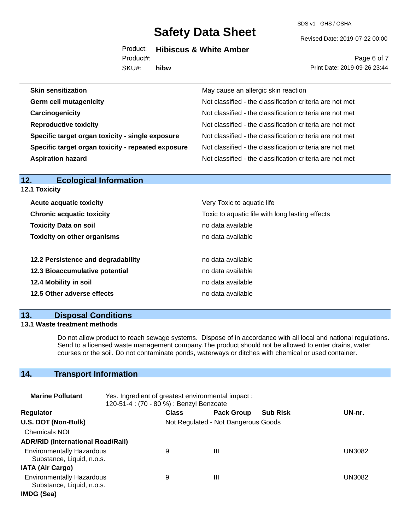SDS v1 GHS / OSHA

Revised Date: 2019-07-22 00:00

Product: **Hibiscus & White Amber** Product#:

SKU#: **hibw**

Page 6 of 7 Print Date: 2019-09-26 23:44

| May cause an allergic skin reaction                      |
|----------------------------------------------------------|
| Not classified - the classification criteria are not met |
| Not classified - the classification criteria are not met |
| Not classified - the classification criteria are not met |
| Not classified - the classification criteria are not met |
| Not classified - the classification criteria are not met |
| Not classified - the classification criteria are not met |
|                                                          |

| <b>Ecological Information</b><br>12. |                                                 |  |  |
|--------------------------------------|-------------------------------------------------|--|--|
| <b>12.1 Toxicity</b>                 |                                                 |  |  |
| <b>Acute acquatic toxicity</b>       | Very Toxic to aquatic life                      |  |  |
| <b>Chronic acquatic toxicity</b>     | Toxic to aquatic life with long lasting effects |  |  |
| <b>Toxicity Data on soil</b>         | no data available                               |  |  |
| <b>Toxicity on other organisms</b>   | no data available                               |  |  |
| 12.2 Persistence and degradability   | no data available                               |  |  |
| 12.3 Bioaccumulative potential       | no data available                               |  |  |
| 12.4 Mobility in soil                | no data available                               |  |  |
| 12.5 Other adverse effects           | no data available                               |  |  |
|                                      |                                                 |  |  |

## **13. Disposal Conditions**

#### **13.1 Waste treatment methods**

Do not allow product to reach sewage systems. Dispose of in accordance with all local and national regulations. Send to a licensed waste management company.The product should not be allowed to enter drains, water courses or the soil. Do not contaminate ponds, waterways or ditches with chemical or used container.

# **14. Transport Information**

| <b>Marine Pollutant</b>                                       | Yes. Ingredient of greatest environmental impact:<br>120-51-4 : (70 - 80 %) : Benzyl Benzoate |              |                                     |                 |               |
|---------------------------------------------------------------|-----------------------------------------------------------------------------------------------|--------------|-------------------------------------|-----------------|---------------|
| <b>Regulator</b>                                              |                                                                                               | <b>Class</b> | <b>Pack Group</b>                   | <b>Sub Risk</b> | UN-nr.        |
| U.S. DOT (Non-Bulk)                                           |                                                                                               |              | Not Regulated - Not Dangerous Goods |                 |               |
| <b>Chemicals NOI</b>                                          |                                                                                               |              |                                     |                 |               |
| <b>ADR/RID (International Road/Rail)</b>                      |                                                                                               |              |                                     |                 |               |
| <b>Environmentally Hazardous</b><br>Substance, Liquid, n.o.s. |                                                                                               | 9            | Ш                                   |                 | <b>UN3082</b> |
| <b>IATA (Air Cargo)</b>                                       |                                                                                               |              |                                     |                 |               |
| <b>Environmentally Hazardous</b><br>Substance, Liquid, n.o.s. |                                                                                               | 9            | Ш                                   |                 | UN3082        |
| IMDG (Sea)                                                    |                                                                                               |              |                                     |                 |               |